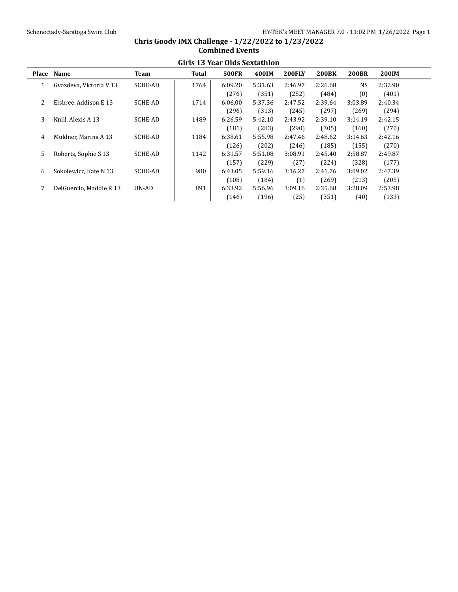|       | Girls 13 Year Olds Sextathion |                |       |              |         |               |              |              |              |  |  |  |
|-------|-------------------------------|----------------|-------|--------------|---------|---------------|--------------|--------------|--------------|--|--|--|
| Place | <b>Name</b>                   | Team           | Total | <b>500FR</b> | 400IM   | <b>200FLY</b> | <b>200BK</b> | <b>200BR</b> | <b>200IM</b> |  |  |  |
|       | Gvozdeva, Victoria V 13       | SCHE-AD        | 1764  | 6:09.20      | 5:31.63 | 2:46.97       | 2:26.68      | NS.          | 2:32.90      |  |  |  |
|       |                               |                |       | (276)        | (351)   | (252)         | (484)        | (0)          | (401)        |  |  |  |
| 2     | Elsbree, Addison E 13         | SCHE-AD        | 1714  | 6:06.00      | 5:37.36 | 2:47.52       | 2:39.64      | 3:03.89      | 2:40.34      |  |  |  |
|       |                               |                |       | (296)        | (313)   | (245)         | (297)        | (269)        | (294)        |  |  |  |
| 3     | Knill, Alexis A 13            | SCHE-AD        | 1489  | 6:26.59      | 5:42.10 | 2:43.92       | 2:39.10      | 3:14.19      | 2:42.15      |  |  |  |
|       |                               |                |       | (181)        | (283)   | (290)         | (305)        | (160)        | (270)        |  |  |  |
| 4     | Muldner. Marina A 13          | <b>SCHE-AD</b> | 1184  | 6:38.61      | 5:55.98 | 2:47.46       | 2:48.62      | 3:14.63      | 2:42.16      |  |  |  |
|       |                               |                |       | (126)        | (202)   | (246)         | (185)        | (155)        | (270)        |  |  |  |
| 5     | Roberts, Sophie S 13          | SCHE-AD        | 1142  | 6:31.57      | 5:51.08 | 3:08.91       | 2:45.40      | 2:58.87      | 2:49.87      |  |  |  |
|       |                               |                |       | (157)        | (229)   | (27)          | (224)        | (328)        | (177)        |  |  |  |
| 6     | Sokolewicz. Kate N 13         | SCHE-AD        | 980   | 6:43.05      | 5:59.16 | 3:16.27       | 2:41.76      | 3:09.02      | 2:47.39      |  |  |  |
|       |                               |                |       | (108)        | (184)   | (1)           | (269)        | (213)        | (205)        |  |  |  |
| 7     | DelGuercio, Maddie R 13       | UN-AD          | 891   | 6:33.92      | 5:56.96 | 3:09.16       | 2:35.68      | 3:28.09      | 2:53.98      |  |  |  |
|       |                               |                |       | (146)        | (196)   | (25)          | (351)        | (40)         | (133)        |  |  |  |

### **Chris Goody IMX Challenge - 1/22/2022 to 1/23/2022 Combined Events Girls 13 Year Olds Sextathlon**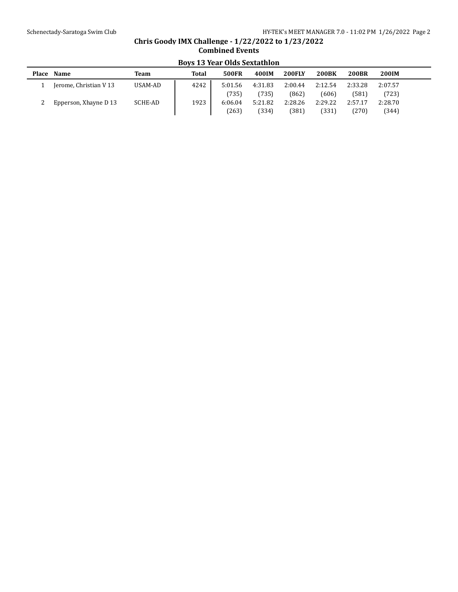# **Chris Goody IMX Challenge - 1/22/2022 to 1/23/2022 Combined Events Boys 13 Year Olds Sextathlon**

| Place | Name                   | <b>Team</b> | <b>Total</b> | <b>500FR</b> | 400IM   | <b>200FLY</b> | <b>200BK</b> | <b>200BR</b> | 200IM   |  |
|-------|------------------------|-------------|--------------|--------------|---------|---------------|--------------|--------------|---------|--|
|       | Jerome, Christian V 13 | USAM-AD     | 4242         | 5:01.56      | 4:31.83 | 2:00.44       | 2:12.54      | 2:33.28      | 2:07.57 |  |
|       |                        |             |              | (735)        | (735)   | (862)         | (606)        | (581)        | (723)   |  |
|       | Epperson, Xhayne D 13  | SCHE-AD     | 1923         | 6:06.04      | 5:21.82 | 2:28.26       | 2:29.22      | 2:57.17      | 2:28.70 |  |
|       |                        |             |              | (263)        | (334)   | (381)         | (331)        | (270)        | (344)   |  |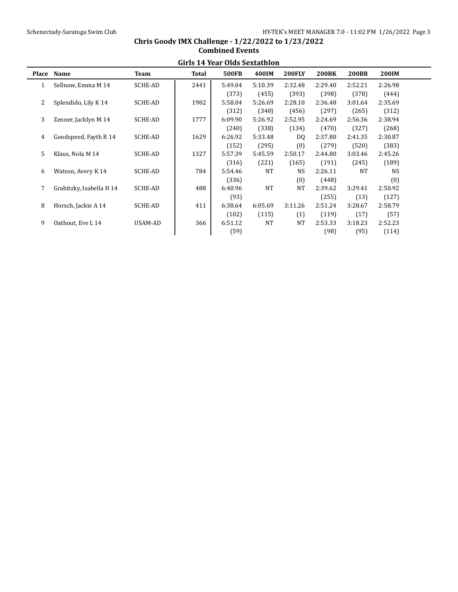|                | Girls 14 year Olds Sextathion |                |       |              |           |               |              |              |           |  |  |  |
|----------------|-------------------------------|----------------|-------|--------------|-----------|---------------|--------------|--------------|-----------|--|--|--|
| <b>Place</b>   | Name                          | <b>Team</b>    | Total | <b>500FR</b> | 400IM     | <b>200FLY</b> | <b>200BK</b> | <b>200BR</b> | 200IM     |  |  |  |
| 1              | Sellnow, Emma M 14            | <b>SCHE-AD</b> | 2441  | 5:49.04      | 5:10.39   | 2:32.48       | 2:29.40      | 2:52.21      | 2:26.98   |  |  |  |
|                |                               |                |       | (373)        | (455)     | (393)         | (398)        | (378)        | (444)     |  |  |  |
| $\overline{2}$ | Splendido, Lily K 14          | <b>SCHE-AD</b> | 1982  | 5:58.04      | 5:26.69   | 2:28.10       | 2:36.48      | 3:01.64      | 2:35.69   |  |  |  |
|                |                               |                |       | (312)        | (340)     | (456)         | (297)        | (265)        | (312)     |  |  |  |
| 3              | Zenner, Jacklyn M 14          | <b>SCHE-AD</b> | 1777  | 6:09.90      | 5:26.92   | 2:52.95       | 2:24.69      | 2:56.36      | 2:38.94   |  |  |  |
|                |                               |                |       | (240)        | (338)     | (134)         | (470)        | (327)        | (268)     |  |  |  |
| 4              | Goodspeed, Fayth R 14         | <b>SCHE-AD</b> | 1629  | 6:26.92      | 5:33.48   | DQ            | 2:37.80      | 2:41.35      | 2:30.87   |  |  |  |
|                |                               |                |       | (152)        | (295)     | (0)           | (279)        | (520)        | (383)     |  |  |  |
| 5              | Klaus, Nola M 14              | <b>SCHE-AD</b> | 1327  | 5:57.39      | 5:45.59   | 2:50.17       | 2:44.80      | 3:03.46      | 2:45.26   |  |  |  |
|                |                               |                |       | (316)        | (221)     | (165)         | (191)        | (245)        | (189)     |  |  |  |
| 6              | Watson, Avery K 14            | <b>SCHE-AD</b> | 784   | 5:54.46      | <b>NT</b> | <b>NS</b>     | 2:26.11      | <b>NT</b>    | <b>NS</b> |  |  |  |
|                |                               |                |       | (336)        |           | (0)           | (448)        |              | (0)       |  |  |  |
| 7              | Grabitzky, Isabella H 14      | <b>SCHE-AD</b> | 488   | 6:40.96      | NT        | NT            | 2:39.62      | 3:29.41      | 2:50.92   |  |  |  |
|                |                               |                |       | (93)         |           |               | (255)        | (13)         | (127)     |  |  |  |
| 8              | Horsch, Jackie A 14           | <b>SCHE-AD</b> | 411   | 6:38.64      | 6:05.69   | 3:11.26       | 2:51.24      | 3:28.67      | 2:58.79   |  |  |  |
|                |                               |                |       | (102)        | (115)     | (1)           | (119)        | (17)         | (57)      |  |  |  |
| 9              | Oathout, Eve L 14             | USAM-AD        | 366   | 6:51.12      | <b>NT</b> | NT            | 2:53.33      | 3:18.23      | 2:52.23   |  |  |  |
|                |                               |                |       | (59)         |           |               | (98)         | (95)         | (114)     |  |  |  |
|                |                               |                |       |              |           |               |              |              |           |  |  |  |

### **Chris Goody IMX Challenge - 1/22/2022 to 1/23/2022 Combined Events Girls 14 Year Olds Sextathlon**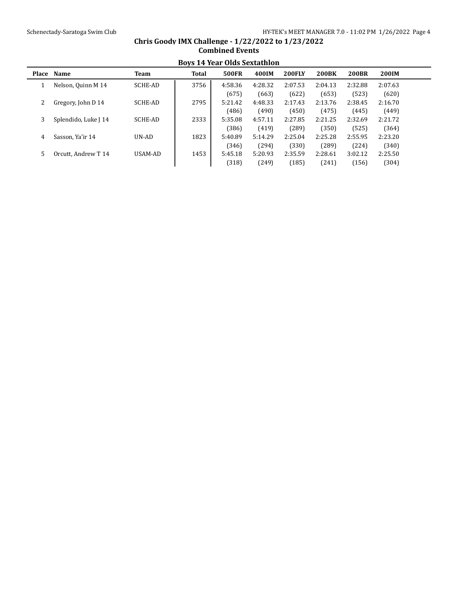|       | DOVS 14 real Olus Sextatiiluit |         |       |              |         |               |              |              |              |  |  |  |  |
|-------|--------------------------------|---------|-------|--------------|---------|---------------|--------------|--------------|--------------|--|--|--|--|
| Place | Name                           | Team    | Total | <b>500FR</b> | 400IM   | <b>200FLY</b> | <b>200BK</b> | <b>200BR</b> | <b>200IM</b> |  |  |  |  |
|       | Nelson, Quinn M 14             | SCHE-AD | 3756  | 4:58.36      | 4:28.32 | 2:07.53       | 2:04.13      | 2:32.88      | 2:07.63      |  |  |  |  |
|       |                                |         |       | (675)        | (663)   | (622)         | (653)        | (523)        | (620)        |  |  |  |  |
| 2     | Gregory, John D 14             | SCHE-AD | 2795  | 5:21.42      | 4:48.33 | 2:17.43       | 2:13.76      | 2:38.45      | 2:16.70      |  |  |  |  |
|       |                                |         |       | (486)        | (490)   | (450)         | (475)        | (445)        | (449)        |  |  |  |  |
| 3     | Splendido, Luke J 14           | SCHE-AD | 2333  | 5:35.08      | 4:57.11 | 2:27.85       | 2:21.25      | 2:32.69      | 2:21.72      |  |  |  |  |
|       |                                |         |       | (386)        | (419)   | (289)         | (350)        | (525)        | (364)        |  |  |  |  |
| 4     | Sasson. Ya'ir 14               | UN-AD   | 1823  | 5:40.89      | 5:14.29 | 2:25.04       | 2:25.28      | 2:55.95      | 2:23.20      |  |  |  |  |
|       |                                |         |       | (346)        | (294)   | (330)         | (289)        | (224)        | (340)        |  |  |  |  |
| 5     | Orcutt. Andrew T 14            | USAM-AD | 1453  | 5:45.18      | 5:20.93 | 2:35.59       | 2:28.61      | 3:02.12      | 2:25.50      |  |  |  |  |
|       |                                |         |       | (318)        | (249)   | (185)         | (241)        | (156)        | (304)        |  |  |  |  |

## **Chris Goody IMX Challenge - 1/22/2022 to 1/23/2022 Combined Events Boys 14 Year Olds Sextathlon**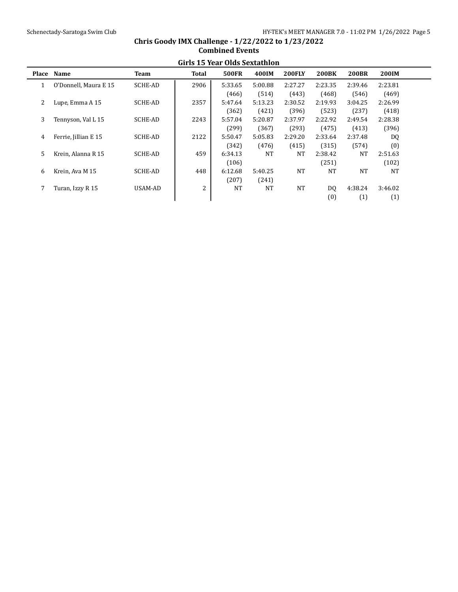|   | GIFTS TO TEAT URIS SEXIAUDUL |         |       |              |           |               |              |              |              |  |  |  |  |
|---|------------------------------|---------|-------|--------------|-----------|---------------|--------------|--------------|--------------|--|--|--|--|
|   | Place Name                   | Team    | Total | <b>500FR</b> | 400IM     | <b>200FLY</b> | <b>200BK</b> | <b>200BR</b> | <b>200IM</b> |  |  |  |  |
|   | O'Donnell, Maura E 15        | SCHE-AD | 2906  | 5:33.65      | 5:00.88   | 2:27.27       | 2:23.35      | 2:39.46      | 2:23.81      |  |  |  |  |
|   |                              |         |       | (466)        | (514)     | (443)         | (468)        | (546)        | (469)        |  |  |  |  |
| 2 | Lupe, Emma A 15              | SCHE-AD | 2357  | 5:47.64      | 5:13.23   | 2:30.52       | 2:19.93      | 3:04.25      | 2:26.99      |  |  |  |  |
|   |                              |         |       | (362)        | (421)     | (396)         | (523)        | (237)        | (418)        |  |  |  |  |
| 3 | Tennyson, Val L 15           | SCHE-AD | 2243  | 5:57.04      | 5:20.87   | 2:37.97       | 2:22.92      | 2:49.54      | 2:28.38      |  |  |  |  |
|   |                              |         |       | (299)        | (367)     | (293)         | (475)        | (413)        | (396)        |  |  |  |  |
| 4 | Ferrie, Jillian E 15         | SCHE-AD | 2122  | 5:50.47      | 5:05.83   | 2:29.20       | 2:33.64      | 2:37.48      | DQ           |  |  |  |  |
|   |                              |         |       | (342)        | (476)     | (415)         | (315)        | (574)        | (0)          |  |  |  |  |
| 5 | Krein, Alanna R 15           | SCHE-AD | 459   | 6:34.13      | <b>NT</b> | NT            | 2:38.42      | NT           | 2:51.63      |  |  |  |  |
|   |                              |         |       | (106)        |           |               | (251)        |              | (102)        |  |  |  |  |
| 6 | Krein, Ava M 15              | SCHE-AD | 448   | 6:12.68      | 5:40.25   | <b>NT</b>     | <b>NT</b>    | <b>NT</b>    | <b>NT</b>    |  |  |  |  |
|   |                              |         |       | (207)        | (241)     |               |              |              |              |  |  |  |  |
|   | Turan, Izzy R 15             | USAM-AD | 2     | <b>NT</b>    | <b>NT</b> | <b>NT</b>     | DO.          | 4:38.24      | 3:46.02      |  |  |  |  |
|   |                              |         |       |              |           |               | (0)          | (1)          | (1)          |  |  |  |  |

## **Chris Goody IMX Challenge - 1/22/2022 to 1/23/2022 Combined Events Girls 15 Year Olds Sextathlon**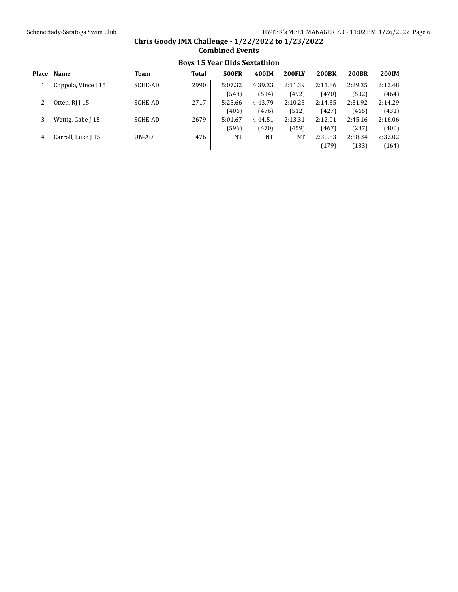## **Boys 15 Year Olds Sextathlon Place Name Team Total 500FR 400IM 200FLY 200BK 200BR 200IM** 1 Coppola, Vince J 15 SCHE-AD 2990 5:07.32 4:39.33 2:11.39 2:11.86 2:29.35 2:12.48 (548) (514) (492) (470) (502) (464) 2 Otten, RJ J 15 SCHE-AD 2717 5:25.66 4:43.79 2:10.25 2:14.35 2:31.92 2:14.29 (406) (476) (512) (427) (465) (431) 3 Wettig, Gabe J 15 SCHE-AD | 2679 | 5:01.67 4:44.51 2:13.31 2:12.01 2:45.16 2:16.06 (596) (470) (459) (467) (287) (400) 4 Carroll, Luke J 15 UN-AD 476 NT NT NT 2:30.83 2:58.34 2:32.02 (179) (133) (164)

# **Chris Goody IMX Challenge - 1/22/2022 to 1/23/2022 Combined Events**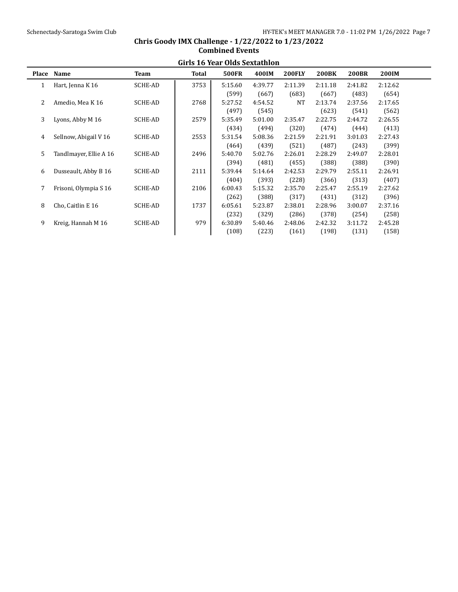|       | Girls 16 Year Olds Sextathion |                |       |              |         |               |              |              |         |  |  |  |
|-------|-------------------------------|----------------|-------|--------------|---------|---------------|--------------|--------------|---------|--|--|--|
| Place | Name                          | Team           | Total | <b>500FR</b> | 400IM   | <b>200FLY</b> | <b>200BK</b> | <b>200BR</b> | 200IM   |  |  |  |
| 1     | Hart, Jenna K 16              | <b>SCHE-AD</b> | 3753  | 5:15.60      | 4:39.77 | 2:11.39       | 2:11.18      | 2:41.82      | 2:12.62 |  |  |  |
|       |                               |                |       | (599)        | (667)   | (683)         | (667)        | (483)        | (654)   |  |  |  |
| 2     | Amedio, Mea K 16              | <b>SCHE-AD</b> | 2768  | 5:27.52      | 4:54.52 | NT            | 2:13.74      | 2:37.56      | 2:17.65 |  |  |  |
|       |                               |                |       | (497)        | (545)   |               | (623)        | (541)        | (562)   |  |  |  |
| 3     | Lyons, Abby M 16              | SCHE-AD        | 2579  | 5:35.49      | 5:01.00 | 2:35.47       | 2:22.75      | 2:44.72      | 2:26.55 |  |  |  |
|       |                               |                |       | (434)        | (494)   | (320)         | (474)        | (444)        | (413)   |  |  |  |
| 4     | Sellnow, Abigail V 16         | <b>SCHE-AD</b> | 2553  | 5:31.54      | 5:08.36 | 2:21.59       | 2:21.91      | 3:01.03      | 2:27.43 |  |  |  |
|       |                               |                |       | (464)        | (439)   | (521)         | (487)        | (243)        | (399)   |  |  |  |
| 5     | Tandlmayer, Ellie A 16        | <b>SCHE-AD</b> | 2496  | 5:40.70      | 5:02.76 | 2:26.01       | 2:28.29      | 2:49.07      | 2:28.01 |  |  |  |
|       |                               |                |       | (394)        | (481)   | (455)         | (388)        | (388)        | (390)   |  |  |  |
| 6     | Dusseault, Abby B 16          | <b>SCHE-AD</b> | 2111  | 5:39.44      | 5:14.64 | 2:42.53       | 2:29.79      | 2:55.11      | 2:26.91 |  |  |  |
|       |                               |                |       | (404)        | (393)   | (228)         | (366)        | (313)        | (407)   |  |  |  |
|       | Frisoni, Olympia S 16         | <b>SCHE-AD</b> | 2106  | 6:00.43      | 5:15.32 | 2:35.70       | 2:25.47      | 2:55.19      | 2:27.62 |  |  |  |
|       |                               |                |       | (262)        | (388)   | (317)         | (431)        | (312)        | (396)   |  |  |  |
| 8     | Cho, Caitlin E 16             | <b>SCHE-AD</b> | 1737  | 6:05.61      | 5:23.87 | 2:38.01       | 2:28.96      | 3:00.07      | 2:37.16 |  |  |  |
|       |                               |                |       | (232)        | (329)   | (286)         | (378)        | (254)        | (258)   |  |  |  |
| 9     | Kreig, Hannah M 16            | <b>SCHE-AD</b> | 979   | 6:30.89      | 5:40.46 | 2:48.06       | 2:42.32      | 3:11.72      | 2:45.28 |  |  |  |
|       |                               |                |       | (108)        | (223)   | (161)         | (198)        | (131)        | (158)   |  |  |  |

### **Chris Goody IMX Challenge - 1/22/2022 to 1/23/2022 Combined Events Girls 16 Year Olds Sextathlon**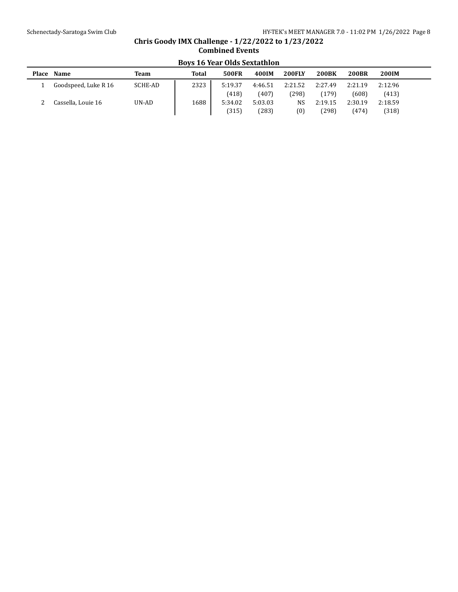# **Place Name Team Total 500FR 400IM 200FLY 200BK 200BR 200IM** 1 Goodspeed, Luke R 16 SCHE-AD 2323 5:19.37 4:46.51 2:21.52 2:27.49 2:21.19 2:12.96 (418) (407) (298) (179) (608) (413) 2 Cassella, Louie 16 UN-AD 1688 5:34.02 5:03.03 NS 2:19.15 2:30.19 2:18.59 (315) (283) (0) (298) (474) (318)

# **Chris Goody IMX Challenge - 1/22/2022 to 1/23/2022 Combined Events Boys 16 Year Olds Sextathlon**